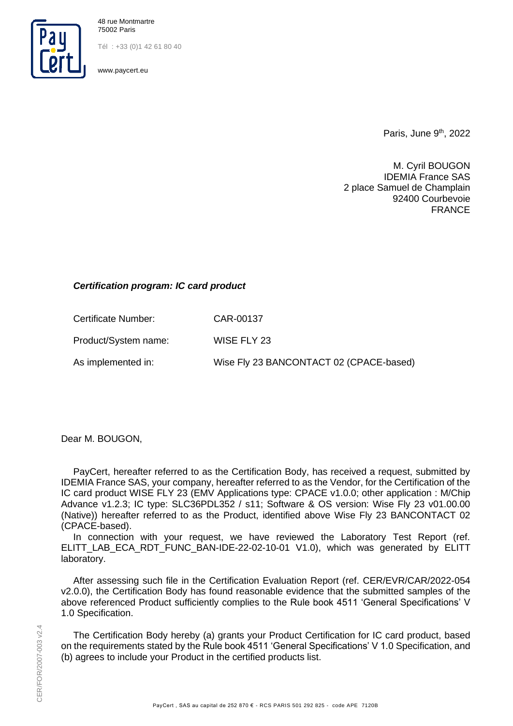

48 rue Montmartre 75002 Paris

Tél : +33 (0)1 42 61 80 40

www.paycert.eu

Paris, June  $9<sup>th</sup>$ , 2022

M. Cyril BOUGON IDEMIA France SAS 2 place Samuel de Champlain 92400 Courbevoie FRANCE

## *Certification program: IC card product*

Certificate Number: CAR-00137

Product/System name: WISE FLY 23

As implemented in: Wise Fly 23 BANCONTACT 02 (CPACE-based)

Dear M. BOUGON,

PayCert, hereafter referred to as the Certification Body, has received a request, submitted by IDEMIA France SAS, your company, hereafter referred to as the Vendor, for the Certification of the IC card product WISE FLY 23 (EMV Applications type: CPACE v1.0.0; other application : M/Chip Advance v1.2.3; IC type: SLC36PDL352 / s11; Software & OS version: Wise Fly 23 v01.00.00 (Native)) hereafter referred to as the Product, identified above Wise Fly 23 BANCONTACT 02 (CPACE-based).

In connection with your request, we have reviewed the Laboratory Test Report (ref. ELITT\_LAB\_ECA\_RDT\_FUNC\_BAN-IDE-22-02-10-01 V1.0), which was generated by ELITT laboratory.

After assessing such file in the Certification Evaluation Report (ref. CER/EVR/CAR/2022-054 v2.0.0), the Certification Body has found reasonable evidence that the submitted samples of the above referenced Product sufficiently complies to the Rule book 4511 'General Specifications' V 1.0 Specification.

The Certification Body hereby (a) grants your Product Certification for IC card product, based on the requirements stated by the Rule book 4511 'General Specifications' V 1.0 Specification, and (b) agrees to include your Product in the certified products list.